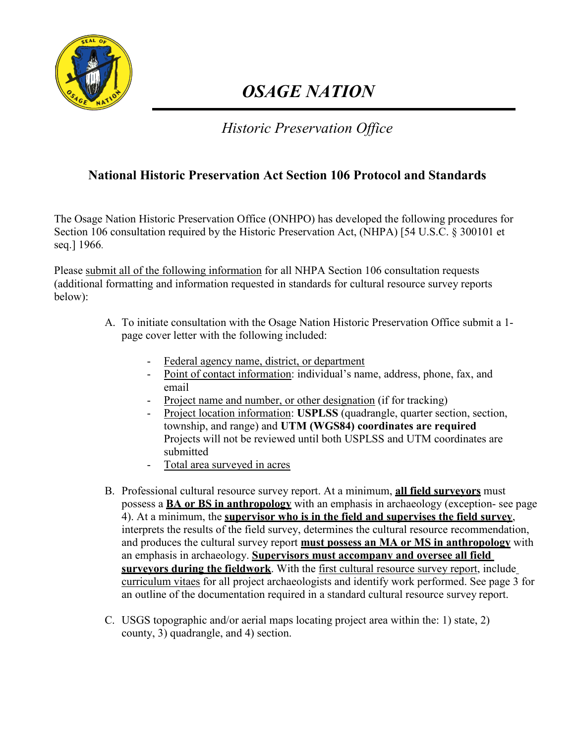

# *OSAGE NATION*

## *Historic Preservation Office*

## **National Historic Preservation Act Section 106 Protocol and Standards**

The Osage Nation Historic Preservation Office (ONHPO) has developed the following procedures for Section 106 consultation required by the Historic Preservation Act, (NHPA) [54 U.S.C. § 300101 et seq.] 1966.

Please submit all of the following information for all NHPA Section 106 consultation requests (additional formatting and information requested in standards for cultural resource survey reports below):

- A. To initiate consultation with the Osage Nation Historic Preservation Office submit a 1 page cover letter with the following included:
	- Federal agency name, district, or department
	- Point of contact information: individual's name, address, phone, fax, and email
	- Project name and number, or other designation (if for tracking)
	- Project location information: **USPLSS** (quadrangle, quarter section, section, township, and range) and **UTM (WGS84) coordinates are required**  Projects will not be reviewed until both USPLSS and UTM coordinates are submitted
	- Total area surveyed in acres
- B. Professional cultural resource survey report. At a minimum, **all field surveyors** must possess a **BA or BS in anthropology** with an emphasis in archaeology (exception- see page 4). At a minimum, the **supervisor who is in the field and supervises the field survey**, interprets the results of the field survey, determines the cultural resource recommendation, and produces the cultural survey report **must possess an MA or MS in anthropology** with an emphasis in archaeology. **Supervisors must accompany and oversee all field surveyors during the fieldwork**. With the first cultural resource survey report, include curriculum vitaes for all project archaeologists and identify work performed. See page 3 for an outline of the documentation required in a standard cultural resource survey report.
- C. USGS topographic and/or aerial maps locating project area within the: 1) state, 2) county, 3) quadrangle, and 4) section.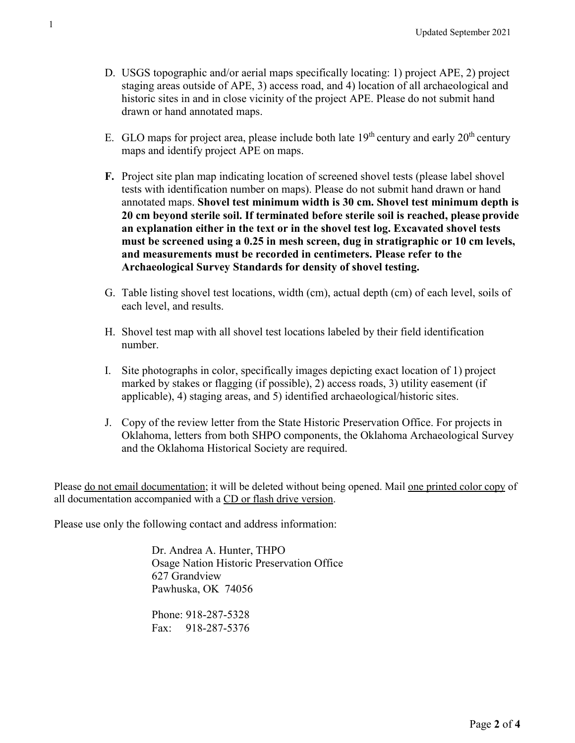- D. USGS topographic and/or aerial maps specifically locating: 1) project APE, 2) project staging areas outside of APE, 3) access road, and 4) location of all archaeological and historic sites in and in close vicinity of the project APE. Please do not submit hand drawn or hand annotated maps.
- E. GLO maps for project area, please include both late  $19<sup>th</sup>$  century and early  $20<sup>th</sup>$  century maps and identify project APE on maps.
- **F.** Project site plan map indicating location of screened shovel tests (please label shovel tests with identification number on maps). Please do not submit hand drawn or hand annotated maps. **Shovel test minimum width is 30 cm. Shovel test minimum depth is 20 cm beyond sterile soil. If terminated before sterile soil is reached, please provide an explanation either in the text or in the shovel test log. Excavated shovel tests must be screened using a 0.25 in mesh screen, dug in stratigraphic or 10 cm levels, and measurements must be recorded in centimeters. Please refer to the Archaeological Survey Standards for density of shovel testing.**
- G. Table listing shovel test locations, width (cm), actual depth (cm) of each level, soils of each level, and results.
- H. Shovel test map with all shovel test locations labeled by their field identification number.
- I. Site photographs in color, specifically images depicting exact location of 1) project marked by stakes or flagging (if possible), 2) access roads, 3) utility easement (if applicable), 4) staging areas, and 5) identified archaeological/historic sites.
- J. Copy of the review letter from the State Historic Preservation Office. For projects in Oklahoma, letters from both SHPO components, the Oklahoma Archaeological Survey and the Oklahoma Historical Society are required.

Please do not email documentation; it will be deleted without being opened. Mail one printed color copy of all documentation accompanied with a CD or flash drive version.

Please use only the following contact and address information:

Dr. Andrea A. Hunter, THPO Osage Nation Historic Preservation Office 627 Grandview Pawhuska, OK 74056

Phone: 918-287-5328 Fax: 918-287-5376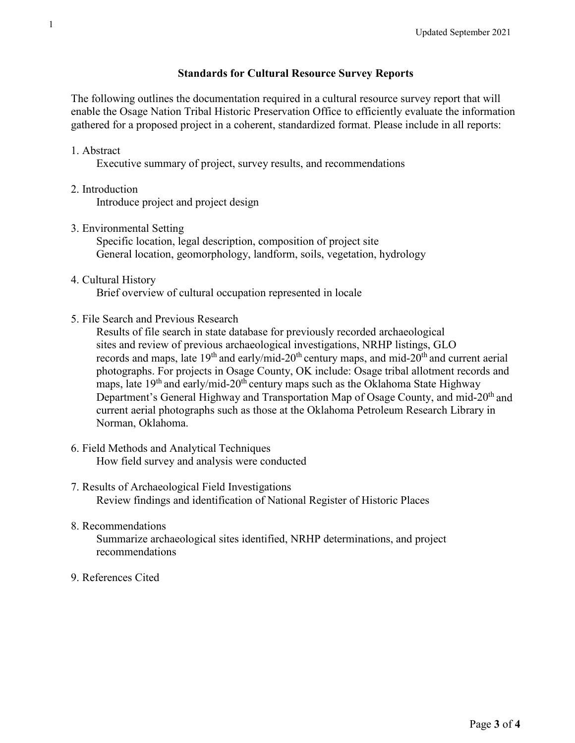#### **Standards for Cultural Resource Survey Reports**

The following outlines the documentation required in a cultural resource survey report that will enable the Osage Nation Tribal Historic Preservation Office to efficiently evaluate the information gathered for a proposed project in a coherent, standardized format. Please include in all reports:

1. Abstract

Executive summary of project, survey results, and recommendations

2. Introduction

Introduce project and project design

3. Environmental Setting

Specific location, legal description, composition of project site General location, geomorphology, landform, soils, vegetation, hydrology

4. Cultural History

Brief overview of cultural occupation represented in locale

5. File Search and Previous Research

Results of file search in state database for previously recorded archaeological sites and review of previous archaeological investigations, NRHP listings, GLO records and maps, late  $19<sup>th</sup>$  and early/mid-20<sup>th</sup> century maps, and mid-20<sup>th</sup> and current aerial photographs. For projects in Osage County, OK include: Osage tribal allotment records and maps, late  $19<sup>th</sup>$  and early/mid-20<sup>th</sup> century maps such as the Oklahoma State Highway Department's General Highway and Transportation Map of Osage County, and mid-20<sup>th</sup> and current aerial photographs such as those at the Oklahoma Petroleum Research Library in Norman, Oklahoma.

- 6. Field Methods and Analytical Techniques How field survey and analysis were conducted
- 7. Results of Archaeological Field Investigations Review findings and identification of National Register of Historic Places
- 8. Recommendations

Summarize archaeological sites identified, NRHP determinations, and project recommendations

9. References Cited